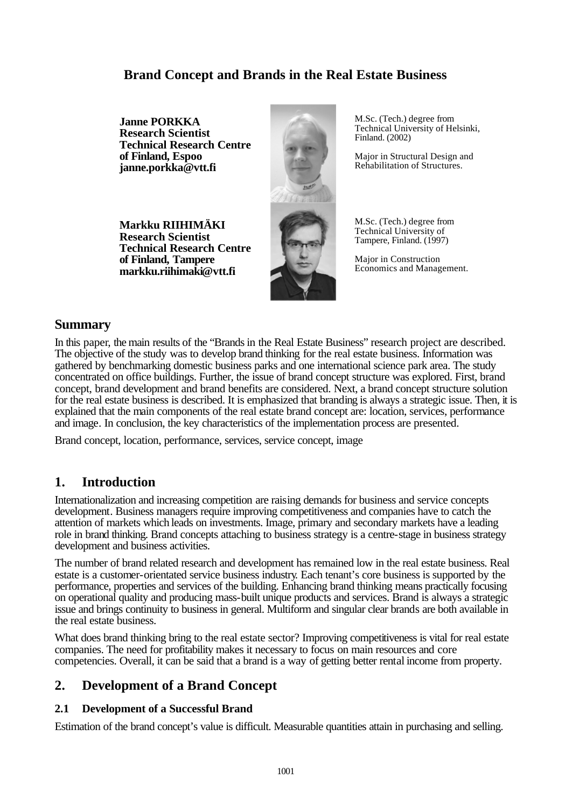# **Brand Concept and Brands in the Real Estate Business**

**Janne PORKKA Research Scientist Technical Research Centre of Finland, Espoo janne.porkka@vtt.fi**

**Markku RIIHIMÄKI Research Scientist Technical Research Centre of Finland, Tampere markku.riihimaki@vtt.fi**



M.Sc. (Tech.) degree from Technical University of Helsinki, Finland. (2002)

Major in Structural Design and Rehabilitation of Structures.

M.Sc. (Tech.) degree from Technical University of Tampere, Finland. (1997)

Major in Construction Economics and Management.

### **Summary**

In this paper, the main results of the "Brands in the Real Estate Business" research project are described. The objective of the study was to develop brand thinking for the real estate business. Information was gathered by benchmarking domestic business parks and one international science park area. The study concentrated on office buildings. Further, the issue of brand concept structure was explored. First, brand concept, brand development and brand benefits are considered. Next, a brand concept structure solution for the real estate business is described. It is emphasized that branding is always a strategic issue. Then, it is explained that the main components of the real estate brand concept are: location, services, performance and image. In conclusion, the key characteristics of the implementation process are presented.

Brand concept, location, performance, services, service concept, image

## **1. Introduction**

Internationalization and increasing competition are raising demands for business and service concepts development. Business managers require improving competitiveness and companies have to catch the attention of markets which leads on investments. Image, primary and secondary markets have a leading role in brand thinking. Brand concepts attaching to business strategy is a centre-stage in business strategy development and business activities.

The number of brand related research and development has remained low in the real estate business. Real estate is a customer-orientated service business industry. Each tenant's core business is supported by the performance, properties and services of the building. Enhancing brand thinking means practically focusing on operational quality and producing mass-built unique products and services. Brand is always a strategic issue and brings continuity to business in general. Multiform and singular clear brands are both available in the real estate business.

What does brand thinking bring to the real estate sector? Improving competitiveness is vital for real estate companies. The need for profitability makes it necessary to focus on main resources and core competencies. Overall, it can be said that a brand is a way of getting better rental income from property.

## **2. Development of a Brand Concept**

#### **2.1 Development of a Successful Brand**

Estimation of the brand concept's value is difficult. Measurable quantities attain in purchasing and selling.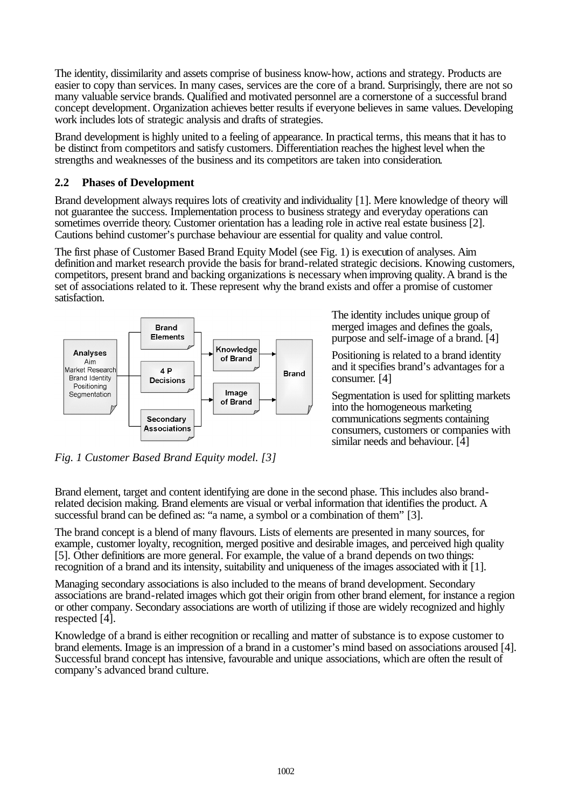The identity, dissimilarity and assets comprise of business know-how, actions and strategy. Products are easier to copy than services. In many cases, services are the core of a brand. Surprisingly, there are not so many valuable service brands. Qualified and motivated personnel are a cornerstone of a successful brand concept development. Organization achieves better results if everyone believes in same values. Developing work includes lots of strategic analysis and drafts of strategies.

Brand development is highly united to a feeling of appearance. In practical terms, this means that it has to be distinct from competitors and satisfy customers. Differentiation reaches the highest level when the strengths and weaknesses of the business and its competitors are taken into consideration.

#### **2.2 Phases of Development**

Brand development always requires lots of creativity and individuality [1]. Mere knowledge of theory will not guarantee the success. Implementation process to business strategy and everyday operations can sometimes override theory. Customer orientation has a leading role in active real estate business [2]. Cautions behind customer's purchase behaviour are essential for quality and value control.

The first phase of Customer Based Brand Equity Model (see Fig. 1) is execution of analyses. Aim definition and market research provide the basis for brand-related strategic decisions. Knowing customers, competitors, present brand and backing organizations is necessary when improving quality. A brand is the set of associations related to it. These represent why the brand exists and offer a promise of customer satisfaction.



The identity includes unique group of merged images and defines the goals, purpose and self-image of a brand. [4]

Positioning is related to a brand identity and it specifies brand's advantages for a consumer. [4]

Segmentation is used for splitting markets into the homogeneous marketing communications segments containing consumers, customers or companies with similar needs and behaviour. [4]

*Fig. 1 Customer Based Brand Equity model. [3]*

Brand element, target and content identifying are done in the second phase. This includes also brandrelated decision making. Brand elements are visual or verbal information that identifies the product. A successful brand can be defined as: "a name, a symbol or a combination of them" [3].

The brand concept is a blend of many flavours. Lists of elements are presented in many sources, for example, customer loyalty, recognition, merged positive and desirable images, and perceived high quality [5]. Other definitions are more general. For example, the value of a brand depends on two things: recognition of a brand and its intensity, suitability and uniqueness of the images associated with it [1].

Managing secondary associations is also included to the means of brand development. Secondary associations are brand-related images which got their origin from other brand element, for instance a region or other company. Secondary associations are worth of utilizing if those are widely recognized and highly respected [4].

Knowledge of a brand is either recognition or recalling and matter of substance is to expose customer to brand elements. Image is an impression of a brand in a customer's mind based on associations aroused [4]. Successful brand concept has intensive, favourable and unique associations, which are often the result of company's advanced brand culture.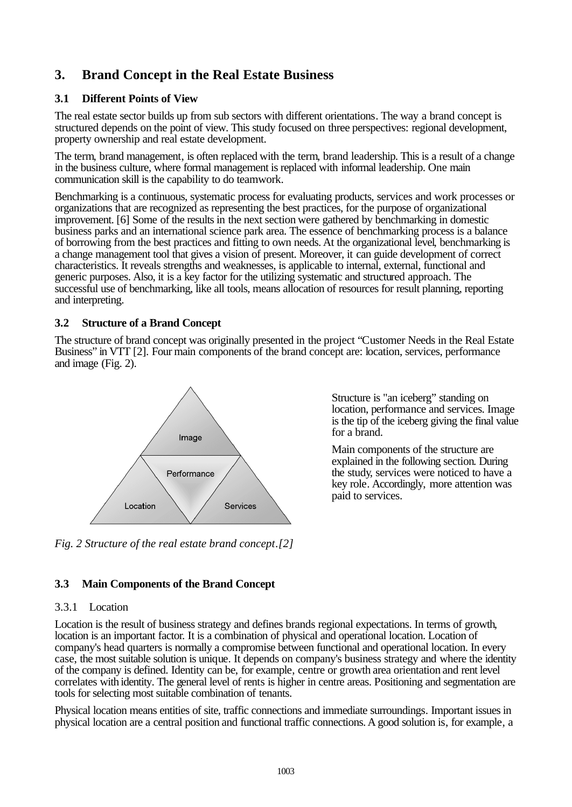# **3. Brand Concept in the Real Estate Business**

#### **3.1 Different Points of View**

The real estate sector builds up from sub sectors with different orientations. The way a brand concept is structured depends on the point of view. This study focused on three perspectives: regional development, property ownership and real estate development.

The term, brand management, is often replaced with the term, brand leadership. This is a result of a change in the business culture, where formal management is replaced with informal leadership. One main communication skill is the capability to do teamwork.

Benchmarking is a continuous, systematic process for evaluating products, services and work processes or organizations that are recognized as representing the best practices, for the purpose of organizational improvement. [6] Some of the results in the next section were gathered by benchmarking in domestic business parks and an international science park area. The essence of benchmarking process is a balance of borrowing from the best practices and fitting to own needs. At the organizational level, benchmarking is a change management tool that gives a vision of present. Moreover, it can guide development of correct characteristics. It reveals strengths and weaknesses, is applicable to internal, external, functional and generic purposes. Also, it is a key factor for the utilizing systematic and structured approach. The successful use of benchmarking, like all tools, means allocation of resources for result planning, reporting and interpreting.

#### **3.2 Structure of a Brand Concept**

The structure of brand concept was originally presented in the project "Customer Needs in the Real Estate Business" in VTT [2]. Four main components of the brand concept are: location, services, performance and image (Fig. 2).



*Fig. 2 Structure of the real estate brand concept.[2]*

Structure is "an iceberg" standing on location, performance and services. Image is the tip of the iceberg giving the final value for a brand.

Main components of the structure are explained in the following section. During the study, services were noticed to have a key role. Accordingly, more attention was paid to services.

#### **3.3 Main Components of the Brand Concept**

#### 3.3.1 Location

Location is the result of business strategy and defines brands regional expectations. In terms of growth, location is an important factor. It is a combination of physical and operational location. Location of company's head quarters is normally a compromise between functional and operational location. In every case, the most suitable solution is unique. It depends on company's business strategy and where the identity of the company is defined. Identity can be, for example, centre or growth area orientation and rent level correlates with identity. The general level of rents is higher in centre areas. Positioning and segmentation are tools for selecting most suitable combination of tenants.

Physical location means entities of site, traffic connections and immediate surroundings. Important issues in physical location are a central position and functional traffic connections. A good solution is, for example, a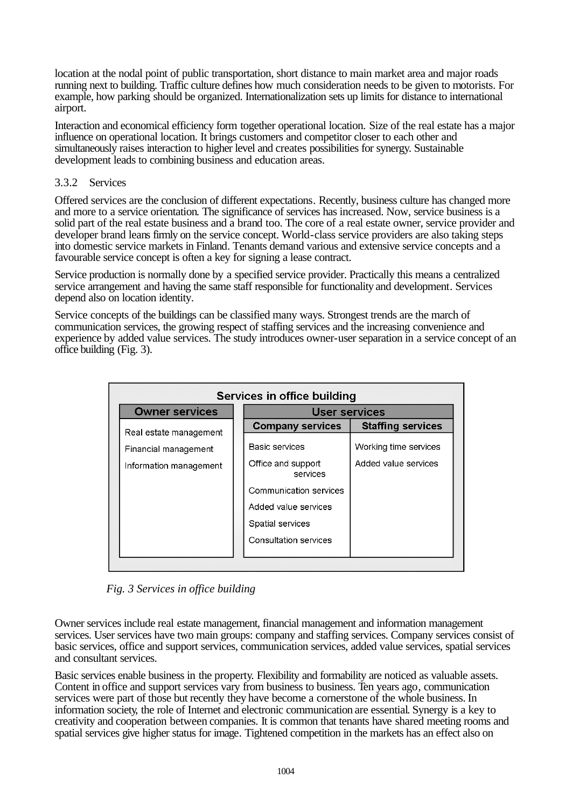location at the nodal point of public transportation, short distance to main market area and major roads running next to building. Traffic culture defines how much consideration needs to be given to motorists. For example, how parking should be organized. Internationalization sets up limits for distance to international airport.

Interaction and economical efficiency form together operational location. Size of the real estate has a major influence on operational location. It brings customers and competitor closer to each other and simultaneously raises interaction to higher level and creates possibilities for synergy. Sustainable development leads to combining business and education areas.

#### 3.3.2 Services

Offered services are the conclusion of different expectations. Recently, business culture has changed more and more to a service orientation. The significance of services has increased. Now, service business is a solid part of the real estate business and a brand too. The core of a real estate owner, service provider and developer brand leans firmly on the service concept. World-class service providers are also taking steps into domestic service markets in Finland. Tenants demand various and extensive service concepts and a favourable service concept is often a key for signing a lease contract.

Service production is normally done by a specified service provider. Practically this means a centralized service arrangement and having the same staff responsible for functionality and development. Services depend also on location identity.

Service concepts of the buildings can be classified many ways. Strongest trends are the march of communication services, the growing respect of staffing services and the increasing convenience and experience by added value services. The study introduces owner-user separation in a service concept of an office building (Fig. 3).

| Services in office building |                                |                          |
|-----------------------------|--------------------------------|--------------------------|
| <b>Owner services</b>       | User services                  |                          |
| Real estate management      | <b>Company services</b>        | <b>Staffing services</b> |
| Financial management        | Basic services                 | Working time services    |
| Information management      | Office and support<br>services | Added value services     |
|                             | Communication services         |                          |
|                             | Added value services           |                          |
|                             | Spatial services               |                          |
|                             | Consultation services          |                          |
|                             |                                |                          |

 *Fig. 3 Services in office building* 

Owner services include real estate management, financial management and information management services. User services have two main groups: company and staffing services. Company services consist of basic services, office and support services, communication services, added value services, spatial services and consultant services.

Basic services enable business in the property. Flexibility and formability are noticed as valuable assets. Content in office and support services vary from business to business. Ten years ago, communication services were part of those but recently they have become a cornerstone of the whole business. In information society, the role of Internet and electronic communication are essential. Synergy is a key to creativity and cooperation between companies. It is common that tenants have shared meeting rooms and spatial services give higher status for image. Tightened competition in the markets has an effect also on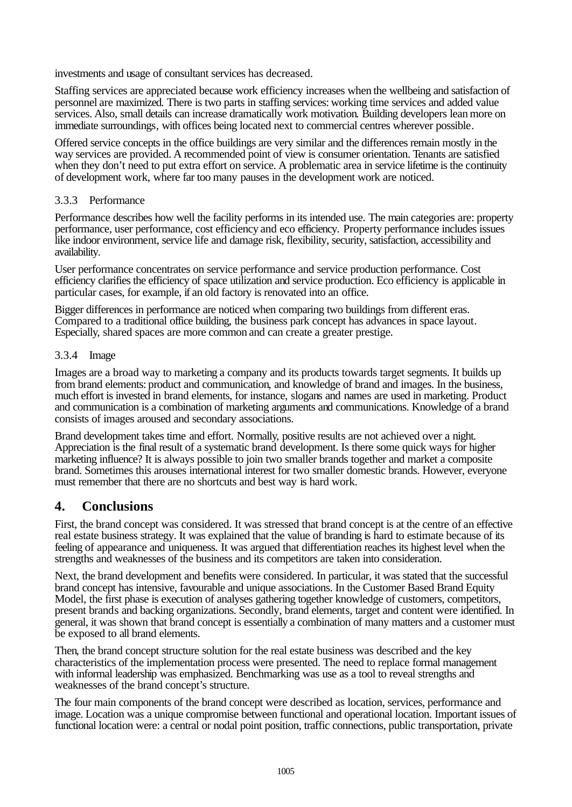investments and usage of consultant services has decreased.

Staffing services are appreciated because work efficiency increases when the wellbeing and satisfaction of personnel are maximized. There is two parts in staffing services: working time services and added value services. Also, small details can increase dramatically work motivation. Building developers lean more on immediate surroundings, with offices being located next to commercial centres wherever possible.

Offered service concepts in the office buildings are very similar and the differences remain mostly in the way services are provided. A recommended point of view is consumer orientation. Tenants are satisfied when they don't need to put extra effort on service. A problematic area in service lifetime is the continuity of development work, where far too many pauses in the development work are noticed.

#### 3.3.3 Performance

Performance describes how well the facility performs in its intended use. The main categories are: property performance, user performance, cost efficiency and eco efficiency. Property performance includes issues like indoor environment, service life and damage risk, flexibility, security, satisfaction, accessibility and availability.

User performance concentrates on service performance and service production performance. Cost efficiency clarifies the efficiency of space utilization and service production. Eco efficiency is applicable in particular cases, for example, if an old factory is renovated into an office.

Bigger differences in performance are noticed when comparing two buildings from different eras. Compared to a traditional office building, the business park concept has advances in space layout. Especially, shared spaces are more common and can create a greater prestige.

#### 3.3.4 Image

Images are a broad way to marketing a company and its products towards target segments. It builds up from brand elements: product and communication, and knowledge of brand and images. In the business, much effort is invested in brand elements, for instance, slogans and names are used in marketing. Product and communication is a combination of marketing arguments and communications. Knowledge of a brand consists of images aroused and secondary associations.

Brand development takes time and effort. Normally, positive results are not achieved over a night. Appreciation is the final result of a systematic brand development. Is there some quick ways for higher marketing influence? It is always possible to join two smaller brands together and market a composite brand. Sometimes this arouses international interest for two smaller domestic brands. However, everyone must remember that there are no shortcuts and best way is hard work.

### **4. Conclusions**

First, the brand concept was considered. It was stressed that brand concept is at the centre of an effective real estate business strategy. It was explained that the value of branding is hard to estimate because of its feeling of appearance and uniqueness. It was argued that differentiation reaches its highest level when the strengths and weaknesses of the business and its competitors are taken into consideration.

Next, the brand development and benefits were considered. In particular, it was stated that the successful brand concept has intensive, favourable and unique associations. In the Customer Based Brand Equity Model, the first phase is execution of analyses gathering together knowledge of customers, competitors, present brands and backing organizations. Secondly, brand elements, target and content were identified. In general, it was shown that brand concept is essentially a combination of many matters and a customer must be exposed to all brand elements.

Then, the brand concept structure solution for the real estate business was described and the key characteristics of the implementation process were presented. The need to replace formal management with informal leadership was emphasized. Benchmarking was use as a tool to reveal strengths and weaknesses of the brand concept's structure.

The four main components of the brand concept were described as location, services, performance and image. Location was a unique compromise between functional and operational location. Important issues of functional location were: a central or nodal point position, traffic connections, public transportation, private